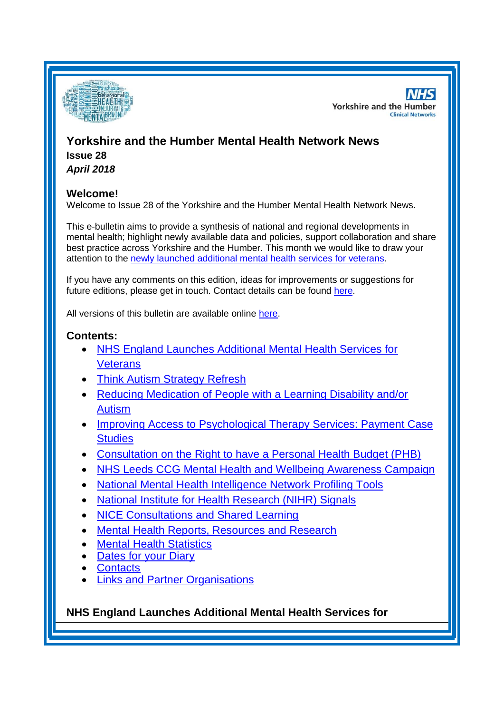

**NHS Yorkshire and the Humber Clinical Networks** 

# **Yorkshire and the Humber Mental Health Network News Issue 28**

*April 2018*

# **Welcome!**

Welcome to Issue 28 of the Yorkshire and the Humber Mental Health Network News.

This e-bulletin aims to provide a synthesis of national and regional developments in mental health; highlight newly available data and policies, support collaboration and share best practice across Yorkshire and the Humber. This month we would like to draw your attention to the [newly launched additional mental health services for veterans.](#page-0-0)

If you have any comments on this edition, ideas for improvements or suggestions for future editions, please get in touch. Contact details can be found [here.](#page-6-0)

All versions of this bulletin are available online [here.](http://www.yhscn.nhs.uk/mental-health-clinic/mental-health-network/MH-documents-and-links.php)

# **Contents:**

- [NHS England Launches Additional Mental Health Services for](#page-0-0)  **[Veterans](#page-0-0)**
- [Think Autism Strategy Refresh](#page-1-0)
- [Reducing Medication of People with a Learning Disability and/or](#page-1-1)  [Autism](#page-1-1)
- Improving Access to Psychological Therapy Services: Payment Case **[Studies](#page-1-1)**
- [Consultation on the Right to have a Personal Health Budget \(PHB\)](#page-2-0)
- [NHS Leeds CCG Mental Health and Wellbeing Awareness Campaign](#page-2-1)
- [National Mental Health Intelligence Network Profiling](#page-0-0) Tools
- [National Institute for Health Research \(NIHR\) Signals](#page-3-0)
- [NICE Consultations and Shared Learning](#page-2-2)
- [Mental Health Reports, Resources and Research](#page-0-1)
- **[Mental Health Statistics](#page-4-0)**
- [Dates for your Diary](#page-4-1)
- **[Contacts](#page-6-0)**
- **[Links and Partner Organisations](#page-6-1)**

<span id="page-0-1"></span><span id="page-0-0"></span>**NHS England Launches Additional Mental Health Services for**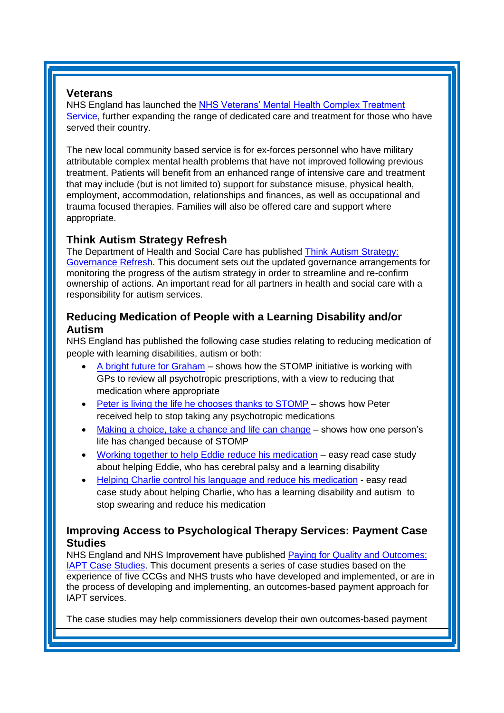### **Veterans**

NHS England has launched the NHS Veterans' Mental Health Complex Treatment [Service,](http://ccgbulletin.cmail20.com/t/d-l-ohjltdk-cdyegjt-k/) further expanding the range of dedicated care and treatment for those who have served their country.

The new local community based service is for ex-forces personnel who have military attributable complex mental health problems that have not improved following previous treatment. Patients will benefit from an enhanced range of intensive care and treatment that may include (but is not limited to) support for substance misuse, physical health, employment, accommodation, relationships and finances, as well as occupational and trauma focused therapies. Families will also be offered care and support where appropriate.

# <span id="page-1-0"></span>**Think Autism Strategy Refresh**

The Department of Health and Social Care has published [Think Autism Strategy:](https://www.gov.uk/government/publications/think-autism-strategy-governance-refresh-2018)  [Governance Refresh.](https://www.gov.uk/government/publications/think-autism-strategy-governance-refresh-2018) This document sets out the updated governance arrangements for monitoring the progress of the autism strategy in order to streamline and re-confirm ownership of actions. An important read for all partners in health and social care with a responsibility for autism services.

# <span id="page-1-1"></span>**Reducing Medication of People with a Learning Disability and/or Autism**

NHS England has published the following case studies relating to reducing medication of people with learning disabilities, autism or both:

- [A bright future for Graham](https://www.england.nhs.uk/publication/a-bright-future-for-graham-not-his-real-name/) shows how the STOMP initiative is working with GPs to review all psychotropic prescriptions, with a view to reducing that medication where appropriate
- [Peter is living the life he chooses thanks to STOMP](https://www.england.nhs.uk/publication/peter-is-living-the-life-he-chooses-thanks-to-stomp/) shows how Peter received help to stop taking any psychotropic medications
- [Making a choice, take a chance and life can change](https://www.england.nhs.uk/publication/make-a-choice-take-a-chance-and-life-can-change/) shows how one person's life has changed because of STOMP
- [Working together to help Eddie reduce his medication](https://www.england.nhs.uk/publication/working-together-to-help-eddie-reduce-his-medication/) easy read case study about helping Eddie, who has cerebral palsy and a learning disability
- [Helping Charlie control his language and reduce his medication](https://www.england.nhs.uk/publication/helping-charlie-control-his-language-and-reduce-his-medication/) easy read case study about helping Charlie, who has a learning disability and autism to stop swearing and reduce his medication

# **Improving Access to Psychological Therapy Services: Payment Case Studies**

NHS England and NHS Improvement have published [Paying for Quality and Outcomes:](https://www.england.nhs.uk/publication/paying-for-quality-and-outcomes-iapt-case-studies/)  [IAPT Case Studies.](https://www.england.nhs.uk/publication/paying-for-quality-and-outcomes-iapt-case-studies/) This document presents a series of case studies based on the experience of five CCGs and NHS trusts who have developed and implemented, or are in the process of developing and implementing, an outcomes-based payment approach for IAPT services.

The case studies may help commissioners develop their own outcomes-based payment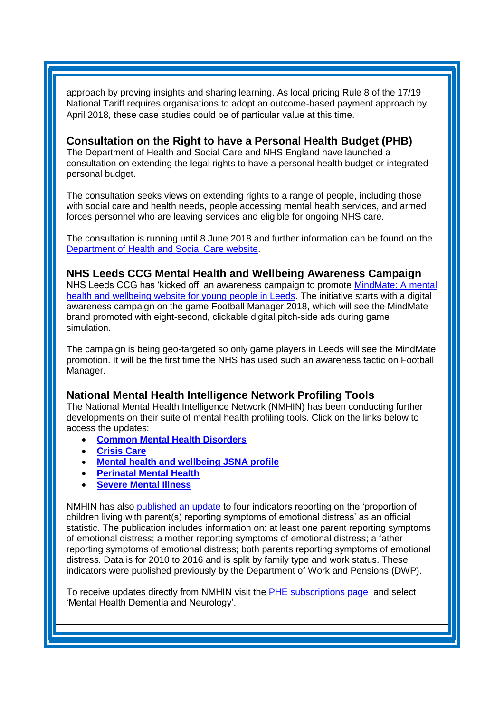approach by proving insights and sharing learning. As local pricing Rule 8 of the 17/19 National Tariff requires organisations to adopt an outcome-based payment approach by April 2018, these case studies could be of particular value at this time.

## <span id="page-2-0"></span>**Consultation on the Right to have a Personal Health Budget (PHB)**

The Department of Health and Social Care and NHS England have launched a consultation on extending the legal rights to have a personal health budget or integrated personal budget.

The consultation seeks views on extending rights to a range of people, including those with social care and health needs, people accessing mental health services, and armed forces personnel who are leaving services and eligible for ongoing NHS care.

The consultation is running until 8 June 2018 and further information can be found on th[e](https://consultations.dh.gov.uk/commissioning-integration-and-transformation/extending-rights-to-personalised-budgets) [Department of Health and Social Care website.](https://consultations.dh.gov.uk/commissioning-integration-and-transformation/extending-rights-to-personalised-budgets)

## <span id="page-2-1"></span>**NHS Leeds CCG Mental Health and Wellbeing Awareness Campaign**

NHS Leeds CCG has 'kicked off' an awareness campaign to promote [MindMate: A mental](https://www.leedsccg.nhs.uk/news/mental-health-wellbeing-awareness-campaign-kicks-off-with-uk-digital-first/)  [health and wellbeing website for young people in Leeds.](https://www.leedsccg.nhs.uk/news/mental-health-wellbeing-awareness-campaign-kicks-off-with-uk-digital-first/) The initiative starts with a digital awareness campaign on the game Football Manager 2018, which will see the MindMate brand promoted with eight-second, clickable digital pitch-side ads during game simulation.

The campaign is being geo-targeted so only game players in Leeds will see the MindMate promotion. It will be the first time the NHS has used such an awareness tactic on Football Manager.

# **National Mental Health Intelligence Network Profiling Tools**

The National Mental Health Intelligence Network (NMHIN) has been conducting further developments on their suite of mental health profiling tools. Click on the links below to access the updates:

- **[Common Mental Health Disorders](http://links.govdelivery.com/track?type=click&enid=ZWFzPTEmbXNpZD0mYXVpZD0mbWFpbGluZ2lkPTIwMTcxMjA1LjgxOTE2MDgxJm1lc3NhZ2VpZD1NREItUFJELUJVTC0yMDE3MTIwNS44MTkxNjA4MSZkYXRhYmFzZWlkPTEwMDEmc2VyaWFsPTE2OTcwMTE4JmVtYWlsaWQ9c2FyYWguYm91bEBuaHMubmV0JnVzZXJpZD1zYXJhaC5ib3VsQG5ocy5uZXQmdGFyZ2V0aWQ9JmZsPSZleHRyYT1NdWx0aXZhcmlhdGVJZD0mJiY=&&&104&&&https://fingertips.phe.org.uk/profile-group/mental-health/profile/common-mental-disorders)**
- **[Crisis Care](http://links.govdelivery.com/track?type=click&enid=ZWFzPTEmbXNpZD0mYXVpZD0mbWFpbGluZ2lkPTIwMTcxMjA1LjgxOTE2MDgxJm1lc3NhZ2VpZD1NREItUFJELUJVTC0yMDE3MTIwNS44MTkxNjA4MSZkYXRhYmFzZWlkPTEwMDEmc2VyaWFsPTE2OTcwMTE4JmVtYWlsaWQ9c2FyYWguYm91bEBuaHMubmV0JnVzZXJpZD1zYXJhaC5ib3VsQG5ocy5uZXQmdGFyZ2V0aWQ9JmZsPSZleHRyYT1NdWx0aXZhcmlhdGVJZD0mJiY=&&&105&&&https://fingertips.phe.org.uk/profile-group/mental-health/profile/crisis-care)**
- **[Mental health and wellbeing JSNA profile](http://links.govdelivery.com/track?type=click&enid=ZWFzPTEmbXNpZD0mYXVpZD0mbWFpbGluZ2lkPTIwMTcxMjA1LjgxOTE2MDgxJm1lc3NhZ2VpZD1NREItUFJELUJVTC0yMDE3MTIwNS44MTkxNjA4MSZkYXRhYmFzZWlkPTEwMDEmc2VyaWFsPTE2OTcwMTE4JmVtYWlsaWQ9c2FyYWguYm91bEBuaHMubmV0JnVzZXJpZD1zYXJhaC5ib3VsQG5ocy5uZXQmdGFyZ2V0aWQ9JmZsPSZleHRyYT1NdWx0aXZhcmlhdGVJZD0mJiY=&&&106&&&https://fingertips.phe.org.uk/profile-group/mental-health/profile/mh-jsna)**
- **[Perinatal Mental Health](http://links.govdelivery.com/track?type=click&enid=ZWFzPTEmbXNpZD0mYXVpZD0mbWFpbGluZ2lkPTIwMTcxMjA1LjgxOTE2MDgxJm1lc3NhZ2VpZD1NREItUFJELUJVTC0yMDE3MTIwNS44MTkxNjA4MSZkYXRhYmFzZWlkPTEwMDEmc2VyaWFsPTE2OTcwMTE4JmVtYWlsaWQ9c2FyYWguYm91bEBuaHMubmV0JnVzZXJpZD1zYXJhaC5ib3VsQG5ocy5uZXQmdGFyZ2V0aWQ9JmZsPSZleHRyYT1NdWx0aXZhcmlhdGVJZD0mJiY=&&&107&&&https://fingertips.phe.org.uk/profile-group/mental-health/profile/perinatal-mental-health)**
- **[Severe Mental Illness](http://links.govdelivery.com/track?type=click&enid=ZWFzPTEmbXNpZD0mYXVpZD0mbWFpbGluZ2lkPTIwMTcxMjA1LjgxOTE2MDgxJm1lc3NhZ2VpZD1NREItUFJELUJVTC0yMDE3MTIwNS44MTkxNjA4MSZkYXRhYmFzZWlkPTEwMDEmc2VyaWFsPTE2OTcwMTE4JmVtYWlsaWQ9c2FyYWguYm91bEBuaHMubmV0JnVzZXJpZD1zYXJhaC5ib3VsQG5ocy5uZXQmdGFyZ2V0aWQ9JmZsPSZleHRyYT1NdWx0aXZhcmlhdGVJZD0mJiY=&&&108&&&https://fingertips.phe.org.uk/profile-group/mental-health/profile/severe-mental-illness)**

NMHIN has also [published an update](http://links.govdelivery.com/track?type=click&enid=ZWFzPTEmbXNpZD0mYXVpZD0mbWFpbGluZ2lkPTIwMTgwNDEwLjg4MTU0OTQxJm1lc3NhZ2VpZD1NREItUFJELUJVTC0yMDE4MDQxMC44ODE1NDk0MSZkYXRhYmFzZWlkPTEwMDEmc2VyaWFsPTE2OTk4OTE5JmVtYWlsaWQ9c2FyYWguYm91bEBuaHMubmV0JnVzZXJpZD1zYXJhaC5ib3VsQG5ocy5uZXQmdGFyZ2V0aWQ9JmZsPSZleHRyYT1NdWx0aXZhcmlhdGVJZD0mJiY=&&&101&&&https://www.gov.uk/government/statistics/children-living-with-parents-in-emotional-distress-2010-to-2016) to four indicators reporting on the 'proportion of children living with parent(s) reporting symptoms of emotional distress' as an official statistic. The publication includes information on: at least one parent reporting symptoms of emotional distress; a mother reporting symptoms of emotional distress; a father reporting symptoms of emotional distress; both parents reporting symptoms of emotional distress. Data is for 2010 to 2016 and is split by family type and work status. These indicators were published previously by the Department of Work and Pensions (DWP).

<span id="page-2-2"></span>To receive updates directly from NMHIN visit the [PHE subscriptions page](http://links.govdelivery.com/track?type=click&enid=ZWFzPTEmbXNpZD0mYXVpZD0mbWFpbGluZ2lkPTIwMTgwMjA3Ljg0OTY1MzgxJm1lc3NhZ2VpZD1NREItUFJELUJVTC0yMDE4MDIwNy44NDk2NTM4MSZkYXRhYmFzZWlkPTEwMDEmc2VyaWFsPTE2OTgzNDk5JmVtYWlsaWQ9c2FyYWguYm91bEBuaHMubmV0JnVzZXJpZD1zYXJhaC5ib3VsQG5ocy5uZXQmdGFyZ2V0aWQ9JmZsPSZleHRyYT1NdWx0aXZhcmlhdGVJZD0mJiY=&&&107&&&https://public.govdelivery.com/accounts/UKHPA/subscribers/new?preferences=true) and select 'Mental Health Dementia and Neurology'.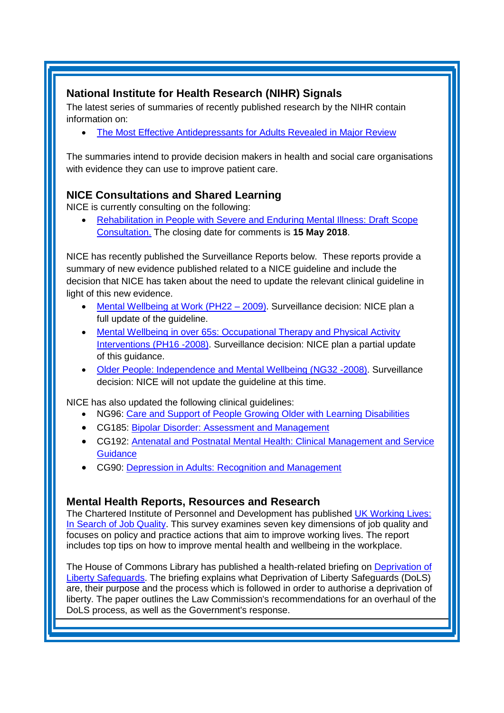# <span id="page-3-0"></span>**National Institute for Health Research (NIHR) Signals**

The latest series of summaries of recently published research by the NIHR contain information on:

[The Most Effective Antidepressants for Adults Revealed in Major Review](https://discover.dc.nihr.ac.uk/portal/article/4000984/the-most-effective-antidepressants-for-adults-revealed-in-major-review)

The summaries intend to provide decision makers in health and social care organisations with evidence they can use to improve patient care.

# **NICE Consultations and Shared Learning**

NICE is currently consulting on the following:

 [Rehabilitation in People with Severe and Enduring Mental Illness: Draft Scope](https://www.nice.org.uk/guidance/indevelopment/gid-ng10092/consultation/html-content)  [Consultation.](https://www.nice.org.uk/guidance/indevelopment/gid-ng10092/consultation/html-content) The closing date for comments is **15 May 2018**.

NICE has recently published the Surveillance Reports below. These reports provide a summary of new evidence published related to a NICE guideline and include the decision that NICE has taken about the need to update the relevant clinical guideline in light of this new evidence.

- [Mental Wellbeing at Work \(PH22 –](https://www.nice.org.uk/guidance/ph22/resources/surveillance-report-2018-mental-wellbeing-at-work-2009-nice-guideline-ph22-4787140141/chapter/Surveillance-decision?tab=evidence&utm_source=Surveillance+report+alerts&utm_campaign=ee891a1a73-EMAIL_CAMPAIGN_2018_03_29&utm_medium=email&utm_term=0_e232b91fb2-ee891a1a73-169540553) 2009). Surveillance decision: NICE plan a full update of the guideline.
- Mental Wellbeing in over 65s: Occupational Therapy and Physical Activity [Interventions \(PH16 -2008\).](https://www.nice.org.uk/guidance/ph16/resources/surveillance-report-2018-mental-wellbeing-in-over-65s-occupational-therapy-and-physical-activity-interventions-2008-nice-guideline-ph16-and-older-people-independence-and-mental-wellbeing-2015-nice-gu-4785324449/chapter/Surveillance-decision?tab=evidence&utm_source=Surveillance+report+alerts&utm_campaign=ee891a1a73-EMAIL_CAMPAIGN_2018_03_29&utm_medium=email&utm_term=0_e232b91fb2-ee891a1a73-169540553) Surveillance decision: NICE plan a partial update of this guidance.
- [Older People: Independence and Mental Wellbeing \(NG32 -2008\).](https://www.nice.org.uk/guidance/ng32/resources/surveillance-report-2018-mental-wellbeing-in-over-65s-occupational-therapy-and-physical-activity-interventions-2008-nice-guideline-ph16-and-older-people-independence-and-mental-wellbeing-2015-nice-gu-4785324449/chapter/Surveillance-decision?tab=evidence&utm_source=Surveillance+report+alerts&utm_campaign=ee891a1a73-EMAIL_CAMPAIGN_2018_03_29&utm_medium=email&utm_term=0_e232b91fb2-ee891a1a73-169540553) Surveillance decision: NICE will not update the guideline at this time.

NICE has also updated the following clinical guidelines:

- NG96: [Care and Support of People Growing Older with Learning Disabilities](https://www.nice.org.uk/guidance/ng96)
- CG185: Bipolar Disorder: [Assessment and Management](https://www.nice.org.uk/guidance/cg185)
- CG192: [Antenatal and Postnatal Mental Health: Clinical Management and Service](https://www.nice.org.uk/guidance/cg192)  **[Guidance](https://www.nice.org.uk/guidance/cg192)**
- CG90: [Depression in Adults: Recognition and Management](https://www.nice.org.uk/guidance/cg90)

# **Mental Health Reports, Resources and Research**

The Chartered Institute of Personnel and Development has published [UK Working Lives:](http://www.nhsemployers.org/news/2018/04/cipd-launch-new-working-lives-report-2018)  [In Search of Job Quality.](http://www.nhsemployers.org/news/2018/04/cipd-launch-new-working-lives-report-2018) This survey examines seven key dimensions of job quality and focuses on policy and practice actions that aim to improve working lives. The report includes top tips on how to improve mental health and wellbeing in the workplace.

The House of Commons Library has published a health-related briefing on [Deprivation of](https://researchbriefings.parliament.uk/ResearchBriefing/Summary/CBP-8095)  [Liberty Safeguards.](https://researchbriefings.parliament.uk/ResearchBriefing/Summary/CBP-8095) The briefing explains what Deprivation of Liberty Safeguards (DoLS) are, their purpose and the process which is followed in order to authorise a deprivation of liberty. The paper outlines the Law Commission's recommendations for an overhaul of the DoLS process, as well as the Government's response.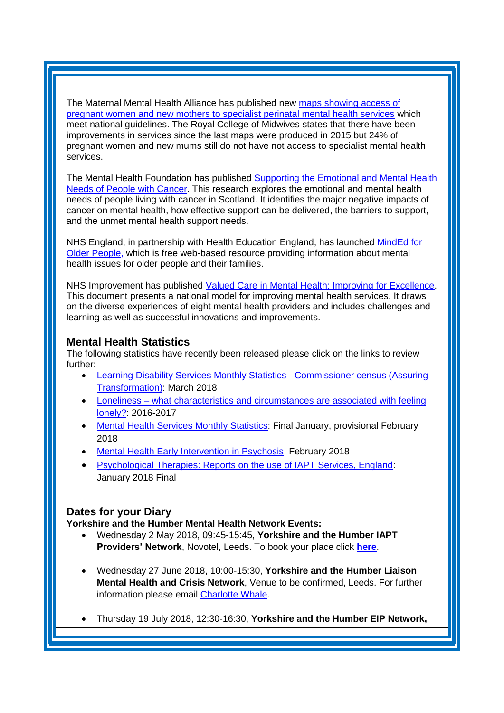The Maternal Mental Health Alliance has published new [maps showing access of](http://maternalmentalhealthalliance.org/campaign/maps/)  [pregnant women and new mothers to specialist perinatal mental health services](http://maternalmentalhealthalliance.org/campaign/maps/) which meet national guidelines. The Royal College of Midwives states that there have been improvements in services since the last maps were produced in 2015 but 24% of pregnant women and new mums still do not have not access to specialist mental health services.

The Mental Health Foundation has published [Supporting the Emotional and Mental Health](https://www.mentalhealth.org.uk/publications/supporting-mental-health-needs-of-people-with-cancer)  [Needs of People with Cancer.](https://www.mentalhealth.org.uk/publications/supporting-mental-health-needs-of-people-with-cancer) This research explores the emotional and mental health needs of people living with cancer in Scotland. It identifies the major negative impacts of cancer on mental health, how effective support can be delivered, the barriers to support, and the unmet mental health support needs.

NHS England, in partnership with Health Education England, has launched [MindEd for](https://mindedforfamilies.org.uk/older-people)  [Older People,](https://mindedforfamilies.org.uk/older-people) which is free web-based resource providing information about mental health issues for older people and their families.

NHS Improvement has published [Valued Care in Mental Health: Improving for Excellence.](https://improvement.nhs.uk/resources/valued-care-mental-health-improving-excellence/) This document presents a national model for improving mental health services. It draws on the diverse experiences of eight mental health providers and includes challenges and learning as well as successful innovations and improvements.

## <span id="page-4-0"></span>**Mental Health Statistics**

The following statistics have recently been released please click on the links to review further:

- <span id="page-4-1"></span> [Learning Disability Services Monthly Statistics -](https://www.gov.uk/government/statistics/learning-disability-services-monthly-statistics-commissioner-census-assuring-transformation-march-2018) Commissioner census (Assuring [Transformation\):](https://www.gov.uk/government/statistics/learning-disability-services-monthly-statistics-commissioner-census-assuring-transformation-march-2018) March 2018
- Loneliness what characteristics and circumstances are associated with feeling [lonely?:](https://www.gov.uk/government/statistics/loneliness-what-characteristics-and-circumstances-are-associated-with-feeling-lonely) 2016-2017
- [Mental Health Services Monthly Statistics:](https://www.gov.uk/government/statistics/mental-health-services-monthly-statistics-final-jan-provisional-feb-2018) Final January, provisional February 2018
- [Mental Health Early Intervention in Psychosis:](https://www.gov.uk/government/statistics/mental-health-early-intervention-in-psychosis-for-february-2018) February 2018
- [Psychological Therapies: Reports on the use of IAPT Services, England:](https://www.gov.uk/government/statistics/psychological-therapies-reports-on-the-use-of-iapt-services-england-january-2018-final-including-reports-on-the-integrated-services-pilot-and-the-e) January 2018 Final

# **Dates for your Diary**

**Yorkshire and the Humber Mental Health Network Events:**

- Wednesday 2 May 2018, 09:45-15:45, **Yorkshire and the Humber IAPT Providers' Network**, Novotel, Leeds. To book your place click **[here](https://www.eventbrite.co.uk/e/yorkshire-and-the-humber-iapt-providers-network-tickets-43306423679)**.
- Wednesday 27 June 2018, 10:00-15:30, **Yorkshire and the Humber Liaison Mental Health and Crisis Network**, Venue to be confirmed, Leeds. For further information please email [Charlotte Whale.](mailto:charlotte.whale@nhs.net)
- Thursday 19 July 2018, 12:30-16:30, **Yorkshire and the Humber EIP Network,**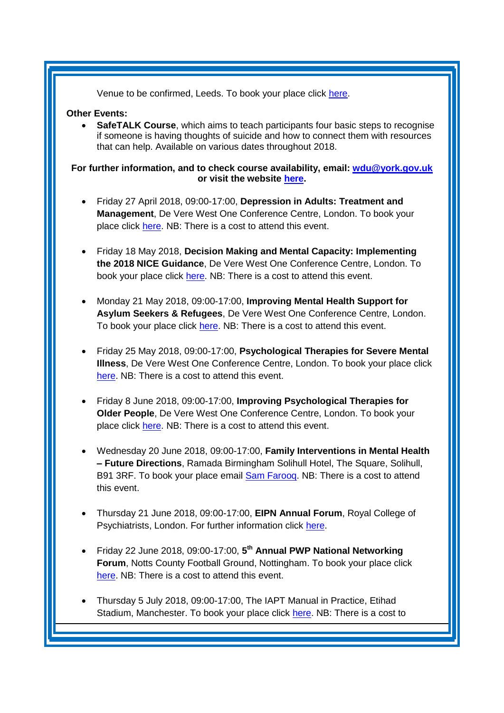Venue to be confirmed, Leeds. To book your place click [here.](https://www.eventbrite.co.uk/e/yorkshire-and-the-humber-eip-network-tickets-45024425268)

#### **Other Events:**

 **SafeTALK Course**, which aims to teach participants four basic steps to recognise if someone is having thoughts of suicide and how to connect them with resources that can help. Available on various dates throughout 2018.

#### **For further information, and to check course availability, email: [wdu@york.gov.uk](mailto:wdu@york.gov.uk) or visit the website [here.](http://www.yorkworkforcedevelopment.org.uk/)**

- Friday 27 April 2018, 09:00-17:00, **Depression in Adults: Treatment and Management**, De Vere West One Conference Centre, London. To book your place click [here.](https://www.healthcareconferencesuk.co.uk/event/1347/book) NB: There is a cost to attend this event.
- Friday 18 May 2018, **Decision Making and Mental Capacity: Implementing the 2018 NICE Guidance**, De Vere West One Conference Centre, London. To book your place click [here.](https://www.healthcareconferencesuk.co.uk/event/1360/book) NB: There is a cost to attend this event.
- Monday 21 May 2018, 09:00-17:00, **Improving Mental Health Support for Asylum Seekers & Refugees**, De Vere West One Conference Centre, London. To book your place click [here.](https://www.healthcareconferencesuk.co.uk/event/1209/book) NB: There is a cost to attend this event.
- Friday 25 May 2018, 09:00-17:00, **Psychological Therapies for Severe Mental Illness**, De Vere West One Conference Centre, London. To book your place click [here.](https://www.healthcareconferencesuk.co.uk/event/1109/book) NB: There is a cost to attend this event.
- Friday 8 June 2018, 09:00-17:00, **Improving Psychological Therapies for Older People**, De Vere West One Conference Centre, London. To book your place click [here.](https://www.healthcareconferencesuk.co.uk/event/1297/book) NB: There is a cost to attend this event.
- Wednesday 20 June 2018, 09:00-17:00, **Family Interventions in Mental Health – Future Directions**, Ramada Birmingham Solihull Hotel, The Square, Solihull, B91 3RF. To book your place email **Sam Farooq.** NB: There is a cost to attend this event.
- Thursday 21 June 2018, 09:00-17:00, **EIPN Annual Forum**, Royal College of Psychiatrists, London. For further information click [here.](http://www.rcpysch.ac.uk/eipn)
- Friday 22 June 2018, 09:00-17:00, **5 th Annual PWP National Networking Forum**, Notts County Football Ground, Nottingham. To book your place click [here.](http://www.iapt-nnf.co.uk/Home/ViewEvent/87?utm_source=SBK%20Healthcare&utm_medium=email&utm_campaign=8995560_1856PT%201st%20email&dm_i=1SB0,5CT0O,MCTTTA,KP5GK,1) NB: There is a cost to attend this event.
- Thursday 5 July 2018, 09:00-17:00, The IAPT Manual in Practice, Etihad Stadium, Manchester. To book your place click [here.](http://www.iapt-nnf.co.uk/Home/ViewEvent/87?utm_source=SBK%20Healthcare&utm_medium=email&utm_campaign=8995560_1856PT%201st%20email&dm_i=1SB0,5CT0O,MCTTTA,KP5GK,1) NB: There is a cost to